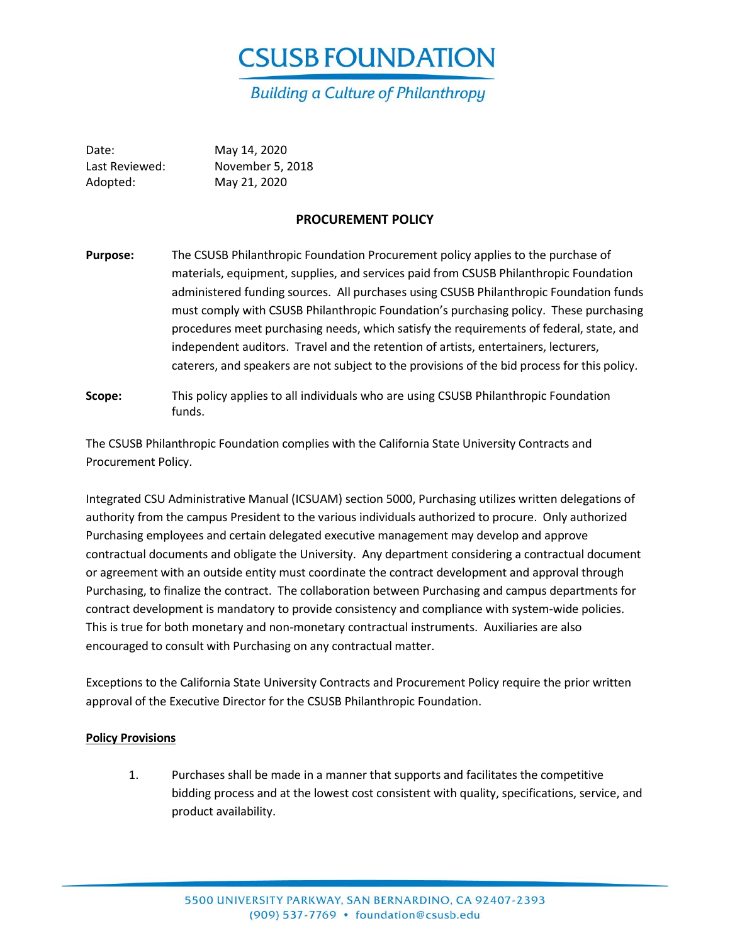

Date: May 14, 2020 Last Reviewed: November 5, 2018 Adopted: May 21, 2020

## **PROCUREMENT POLICY**

- **Purpose:** The CSUSB Philanthropic Foundation Procurement policy applies to the purchase of materials, equipment, supplies, and services paid from CSUSB Philanthropic Foundation administered funding sources. All purchases using CSUSB Philanthropic Foundation funds must comply with CSUSB Philanthropic Foundation's purchasing policy. These purchasing procedures meet purchasing needs, which satisfy the requirements of federal, state, and independent auditors. Travel and the retention of artists, entertainers, lecturers, caterers, and speakers are not subject to the provisions of the bid process for this policy.
- **Scope:** This policy applies to all individuals who are using CSUSB Philanthropic Foundation funds.

The CSUSB Philanthropic Foundation complies with the California State University Contracts and Procurement Policy.

Integrated CSU Administrative Manual (ICSUAM) section 5000, Purchasing utilizes written delegations of authority from the campus President to the various individuals authorized to procure. Only authorized Purchasing employees and certain delegated executive management may develop and approve contractual documents and obligate the University. Any department considering a contractual document or agreement with an outside entity must coordinate the contract development and approval through Purchasing, to finalize the contract. The collaboration between Purchasing and campus departments for contract development is mandatory to provide consistency and compliance with system-wide policies. This is true for both monetary and non-monetary contractual instruments. Auxiliaries are also encouraged to consult with Purchasing on any contractual matter.

Exceptions to the California State University Contracts and Procurement Policy require the prior written approval of the Executive Director for the CSUSB Philanthropic Foundation.

#### **Policy Provisions**

1. Purchases shall be made in a manner that supports and facilitates the competitive bidding process and at the lowest cost consistent with quality, specifications, service, and product availability.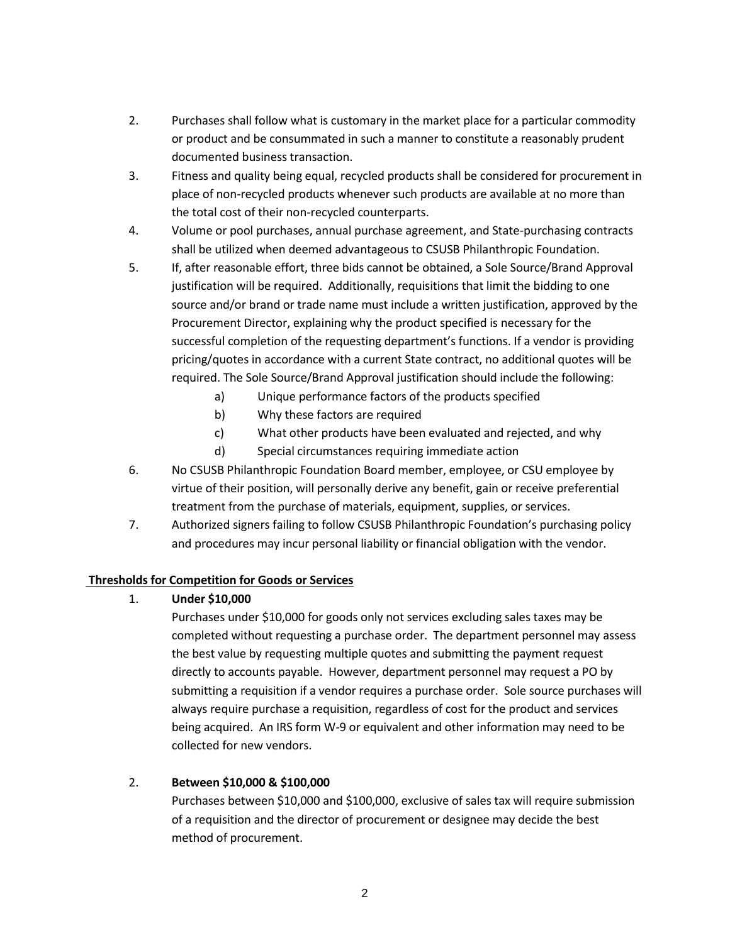- 2. Purchases shall follow what is customary in the market place for a particular commodity or product and be consummated in such a manner to constitute a reasonably prudent documented business transaction.
- 3. Fitness and quality being equal, recycled products shall be considered for procurement in place of non-recycled products whenever such products are available at no more than the total cost of their non-recycled counterparts.
- 4. Volume or pool purchases, annual purchase agreement, and State-purchasing contracts shall be utilized when deemed advantageous to CSUSB Philanthropic Foundation.
- 5. If, after reasonable effort, three bids cannot be obtained, a Sole Source/Brand Approval justification will be required. Additionally, requisitions that limit the bidding to one source and/or brand or trade name must include a written justification, approved by the Procurement Director, explaining why the product specified is necessary for the successful completion of the requesting department's functions. If a vendor is providing pricing/quotes in accordance with a current State contract, no additional quotes will be required. The Sole Source/Brand Approval justification should include the following:
	- a) Unique performance factors of the products specified
	- b) Why these factors are required
	- c) What other products have been evaluated and rejected, and why
	- d) Special circumstances requiring immediate action
- 6. No CSUSB Philanthropic Foundation Board member, employee, or CSU employee by virtue of their position, will personally derive any benefit, gain or receive preferential treatment from the purchase of materials, equipment, supplies, or services.
- 7. Authorized signers failing to follow CSUSB Philanthropic Foundation's purchasing policy and procedures may incur personal liability or financial obligation with the vendor.

## **Thresholds for Competition for Goods or Services**

## 1. **Under \$10,000**

Purchases under \$10,000 for goods only not services excluding sales taxes may be completed without requesting a purchase order. The department personnel may assess the best value by requesting multiple quotes and submitting the payment request directly to accounts payable. However, department personnel may request a PO by submitting a requisition if a vendor requires a purchase order. Sole source purchases will always require purchase a requisition, regardless of cost for the product and services being acquired. An IRS form W-9 or equivalent and other information may need to be collected for new vendors.

# 2. **Between \$10,000 & \$100,000**

Purchases between \$10,000 and \$100,000, exclusive of sales tax will require submission of a requisition and the director of procurement or designee may decide the best method of procurement.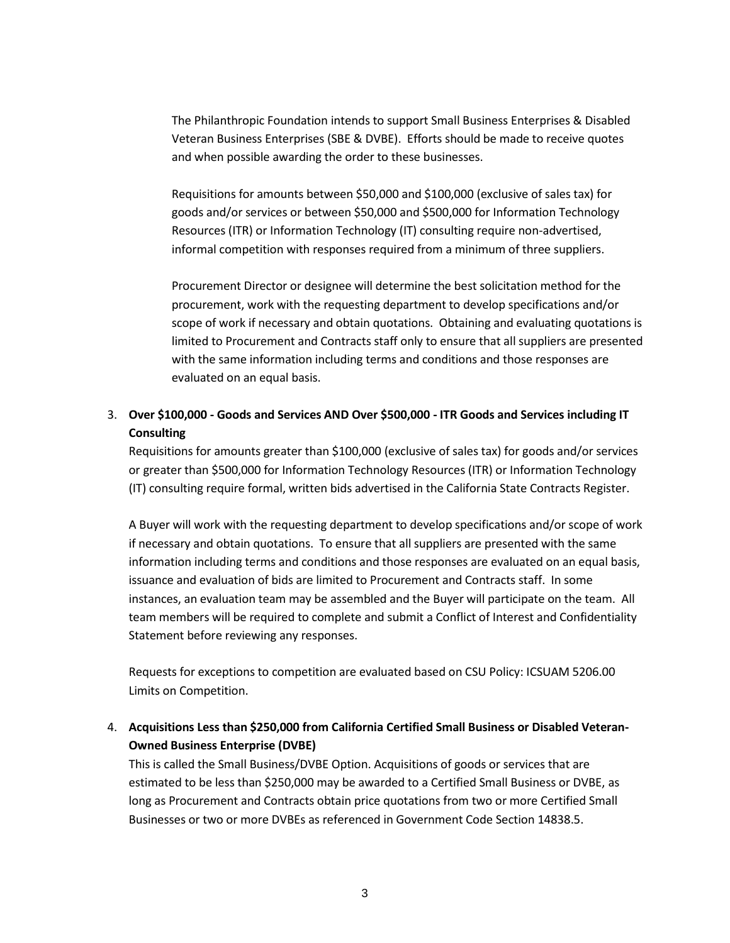The Philanthropic Foundation intends to support Small Business Enterprises & Disabled Veteran Business Enterprises (SBE & DVBE). Efforts should be made to receive quotes and when possible awarding the order to these businesses.

Requisitions for amounts between \$50,000 and \$100,000 (exclusive of sales tax) for goods and/or services or between \$50,000 and \$500,000 for Information Technology Resources (ITR) or Information Technology (IT) consulting require non-advertised, informal competition with responses required from a minimum of three suppliers.

Procurement Director or designee will determine the best solicitation method for the procurement, work with the requesting department to develop specifications and/or scope of work if necessary and obtain quotations. Obtaining and evaluating quotations is limited to Procurement and Contracts staff only to ensure that all suppliers are presented with the same information including terms and conditions and those responses are evaluated on an equal basis.

# 3. **Over \$100,000 - Goods and Services AND Over \$500,000 - ITR Goods and Services including IT Consulting**

Requisitions for amounts greater than \$100,000 (exclusive of sales tax) for goods and/or services or greater than \$500,000 for Information Technology Resources (ITR) or Information Technology (IT) consulting require formal, written bids advertised in the California State Contracts Register.

A Buyer will work with the requesting department to develop specifications and/or scope of work if necessary and obtain quotations. To ensure that all suppliers are presented with the same information including terms and conditions and those responses are evaluated on an equal basis, issuance and evaluation of bids are limited to Procurement and Contracts staff. In some instances, an evaluation team may be assembled and the Buyer will participate on the team. All team members will be required to complete and submit a Conflict of Interest and Confidentiality Statement before reviewing any responses.

Requests for exceptions to competition are evaluated based on CSU Policy: ICSUAM 5206.00 Limits on Competition.

4. **Acquisitions Less than \$250,000 from California Certified Small Business or Disabled Veteran-Owned Business Enterprise (DVBE)**

This is called the Small Business/DVBE Option. Acquisitions of goods or services that are estimated to be less than \$250,000 may be awarded to a Certified Small Business or DVBE, as long as Procurement and Contracts obtain price quotations from two or more Certified Small Businesses or two or more DVBEs as referenced in Government Code Section 14838.5.